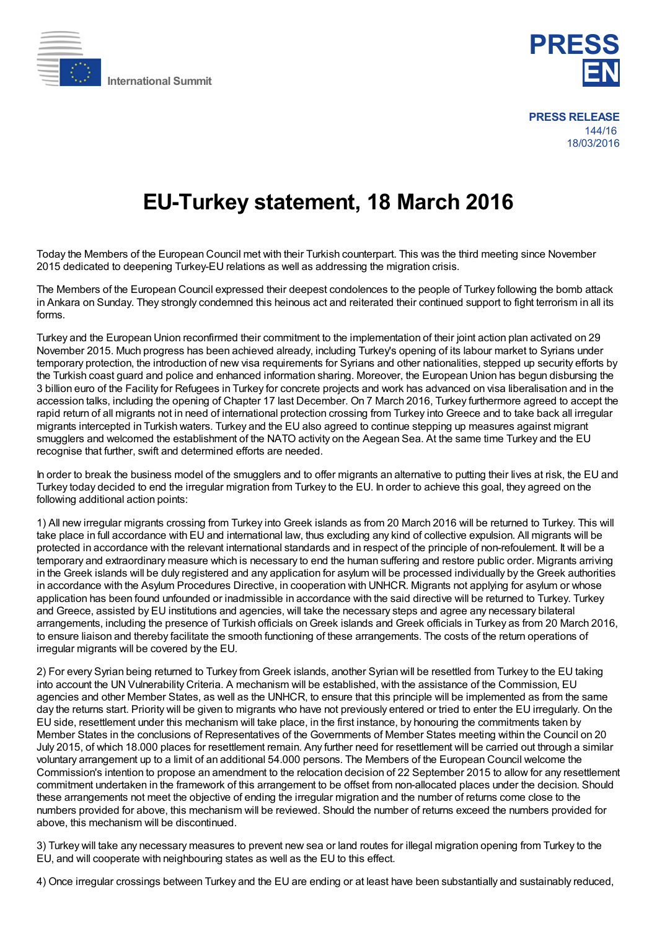



**PRESS RELEASE** 144/16 18/03/2016

## **EU-Turkey statement, 18 March 2016**

Today the Members of the European Council met with their Turkish counterpart. This was the third meeting since November 2015 dedicated to deepening Turkey-EU relations as well as addressing the migration crisis.

The Members of the European Council expressed their deepest condolences to the people of Turkey following the bomb attack in Ankara on Sunday. They strongly condemned this heinous act and reiterated their continued support to fight terrorism in all its forms.

Turkey and the European Union reconfirmed their commitment to the implementation of their joint action plan activated on 29 November 2015. Much progress has been achieved already, including Turkey's opening of its labour market to Syrians under temporary protection, the introduction of new visa requirements for Syrians and other nationalities, stepped up security efforts by the Turkish coast guard and police and enhanced information sharing. Moreover, the European Union has begun disbursing the 3 billion euro of the Facility for Refugees in Turkey for concrete projects and work has advanced on visa liberalisation and in the accession talks, including the opening of Chapter 17 last December. On 7 March 2016, Turkey furthermore agreed to accept the rapid return of all migrants not in need of international protection crossing from Turkey into Greece and to take back all irregular migrants intercepted in Turkish waters. Turkey and the EU also agreed to continue stepping up measures against migrant smugglers and welcomed the establishment of the NATO activity on the Aegean Sea. At the same time Turkey and the EU recognise that further, swift and determined efforts are needed.

In order to break the business model of the smugglers and to offer migrants an alternative to putting their lives at risk, the EU and Turkey today decided to end the irregular migration from Turkey to the EU. In order to achieve this goal, they agreed on the following additional action points:

1) All new irregular migrants crossing from Turkey into Greek islands as from 20 March 2016 will be returned to Turkey. This will take place in full accordance with EU and international law, thus excluding any kind of collective expulsion. All migrants will be protected in accordance with the relevant international standards and in respect of the principle of non-refoulement. It will be a temporary and extraordinary measure which is necessary to end the human suffering and restore public order. Migrants arriving in the Greek islands will be duly registered and any application for asylum will be processed individually by the Greek authorities in accordance with the Asylum Procedures Directive, in cooperation with UNHCR. Migrants not applying for asylum or whose application has been found unfounded or inadmissible in accordance with the said directive will be returned to Turkey. Turkey and Greece, assisted by EU institutions and agencies, will take the necessary steps and agree any necessary bilateral arrangements, including the presence of Turkish officials on Greek islands and Greek officials in Turkey as from 20 March 2016, to ensure liaison and thereby facilitate the smooth functioning of these arrangements. The costs of the return operations of irregular migrants will be covered by the EU.

2) For every Syrian being returned to Turkey from Greek islands, another Syrian will be resettled from Turkey to the EU taking into account the UN Vulnerability Criteria. A mechanism will be established, with the assistance of the Commission, EU agencies and other Member States, as well as the UNHCR, to ensure that this principle will be implemented as from the same day the returns start. Priority will be given to migrants who have not previously entered or tried to enter the EU irregularly. On the EU side, resettlement under this mechanism will take place, in the first instance, by honouring the commitments taken by Member States in the conclusions of Representatives of the Governments of Member States meeting within the Council on 20 July 2015, of which 18.000 places for resettlement remain. Any further need for resettlement will be carried out through a similar voluntary arrangement up to a limit of an additional 54.000 persons. The Members of the European Council welcome the Commission's intention to propose an amendment to the relocation decision of 22 September 2015 to allow for any resettlement commitment undertaken in the framework of this arrangement to be offset from non-allocated places under the decision. Should these arrangements not meet the objective of ending the irregular migration and the number of returns come close to the numbers provided for above, this mechanism will be reviewed. Should the number of returns exceed the numbers provided for above, this mechanism will be discontinued.

3) Turkey will take any necessary measures to prevent new sea or land routes for illegal migration opening from Turkey to the EU, and will cooperate with neighbouring states as well as the EU to this effect.

4) Once irregular crossings between Turkey and the EU are ending or at least have been substantially and sustainably reduced,